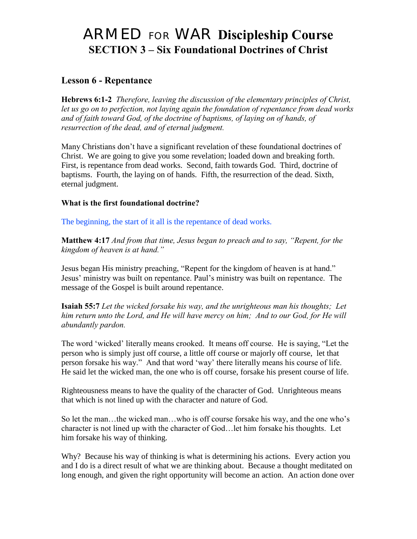# ARMED FOR WAR **Discipleship Course SECTION 3 – Six Foundational Doctrines of Christ**

# **Lesson 6 - Repentance**

**Hebrews 6:1-2** *Therefore, leaving the discussion of the elementary principles of Christ, let us go on to perfection, not laying again the foundation of repentance from dead works and of faith toward God, of the doctrine of baptisms, of laying on of hands, of resurrection of the dead, and of eternal judgment.* 

Many Christians don"t have a significant revelation of these foundational doctrines of Christ. We are going to give you some revelation; loaded down and breaking forth. First, is repentance from dead works. Second, faith towards God. Third, doctrine of baptisms. Fourth, the laying on of hands. Fifth, the resurrection of the dead. Sixth, eternal judgment.

#### **What is the first foundational doctrine?**

The beginning, the start of it all is the repentance of dead works.

**Matthew 4:17** *And from that time, Jesus began to preach and to say, "Repent, for the kingdom of heaven is at hand."*

Jesus began His ministry preaching, "Repent for the kingdom of heaven is at hand." Jesus" ministry was built on repentance. Paul"s ministry was built on repentance. The message of the Gospel is built around repentance.

**Isaiah 55:7** *Let the wicked forsake his way, and the unrighteous man his thoughts; Let him return unto the Lord, and He will have mercy on him; And to our God, for He will abundantly pardon.*

The word "wicked" literally means crooked. It means off course. He is saying, "Let the person who is simply just off course, a little off course or majorly off course, let that person forsake his way." And that word "way" there literally means his course of life. He said let the wicked man, the one who is off course, forsake his present course of life.

Righteousness means to have the quality of the character of God. Unrighteous means that which is not lined up with the character and nature of God.

So let the man…the wicked man…who is off course forsake his way, and the one who"s character is not lined up with the character of God…let him forsake his thoughts. Let him forsake his way of thinking.

Why? Because his way of thinking is what is determining his actions. Every action you and I do is a direct result of what we are thinking about. Because a thought meditated on long enough, and given the right opportunity will become an action. An action done over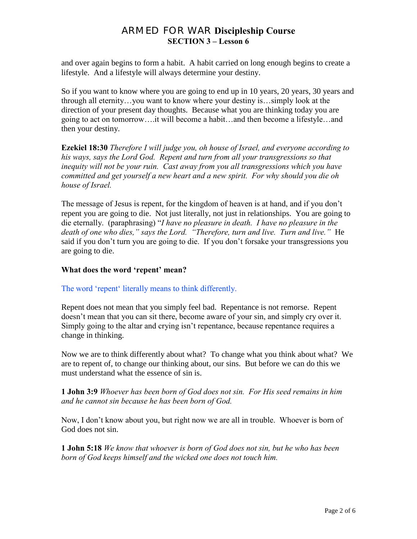and over again begins to form a habit. A habit carried on long enough begins to create a lifestyle. And a lifestyle will always determine your destiny.

So if you want to know where you are going to end up in 10 years, 20 years, 30 years and through all eternity…you want to know where your destiny is…simply look at the direction of your present day thoughts. Because what you are thinking today you are going to act on tomorrow….it will become a habit…and then become a lifestyle…and then your destiny.

**Ezekiel 18:30** *Therefore I will judge you, oh house of Israel, and everyone according to his ways, says the Lord God. Repent and turn from all your transgressions so that inequity will not be your ruin. Cast away from you all transgressions which you have committed and get yourself a new heart and a new spirit. For why should you die oh house of Israel.*

The message of Jesus is repent, for the kingdom of heaven is at hand, and if you don"t repent you are going to die. Not just literally, not just in relationships. You are going to die eternally. (paraphrasing) "*I have no pleasure in death. I have no pleasure in the death of one who dies," says the Lord. "Therefore, turn and live. Turn and live."* He said if you don"t turn you are going to die. If you don"t forsake your transgressions you are going to die.

#### **What does the word 'repent' mean?**

#### The word 'repent' literally means to think differently.

Repent does not mean that you simply feel bad. Repentance is not remorse. Repent doesn"t mean that you can sit there, become aware of your sin, and simply cry over it. Simply going to the altar and crying isn't repentance, because repentance requires a change in thinking.

Now we are to think differently about what? To change what you think about what? We are to repent of, to change our thinking about, our sins. But before we can do this we must understand what the essence of sin is.

**1 John 3:9** *Whoever has been born of God does not sin. For His seed remains in him and he cannot sin because he has been born of God.*

Now, I don"t know about you, but right now we are all in trouble. Whoever is born of God does not sin.

**1 John 5:18** *We know that whoever is born of God does not sin, but he who has been born of God keeps himself and the wicked one does not touch him.*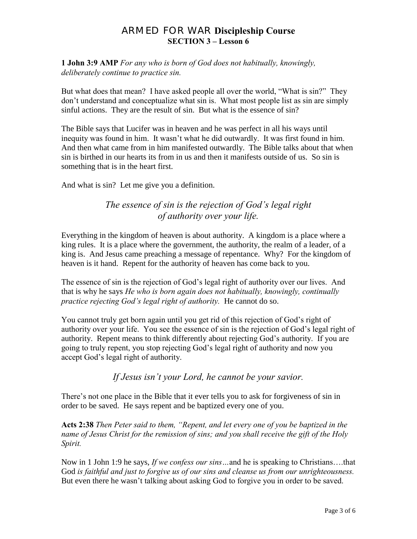**1 John 3:9 AMP** *For any who is born of God does not habitually, knowingly, deliberately continue to practice sin.*

But what does that mean? I have asked people all over the world, "What is sin?" They don"t understand and conceptualize what sin is. What most people list as sin are simply sinful actions. They are the result of sin. But what is the essence of sin?

The Bible says that Lucifer was in heaven and he was perfect in all his ways until inequity was found in him. It wasn"t what he did outwardly. It was first found in him. And then what came from in him manifested outwardly. The Bible talks about that when sin is birthed in our hearts its from in us and then it manifests outside of us. So sin is something that is in the heart first.

And what is sin? Let me give you a definition.

# *The essence of sin is the rejection of God's legal right of authority over your life.*

Everything in the kingdom of heaven is about authority. A kingdom is a place where a king rules. It is a place where the government, the authority, the realm of a leader, of a king is. And Jesus came preaching a message of repentance. Why? For the kingdom of heaven is it hand. Repent for the authority of heaven has come back to you.

The essence of sin is the rejection of God's legal right of authority over our lives. And that is why he says *He who is born again does not habitually, knowingly, continually practice rejecting God's legal right of authority.* He cannot do so.

You cannot truly get born again until you get rid of this rejection of God"s right of authority over your life. You see the essence of sin is the rejection of God"s legal right of authority. Repent means to think differently about rejecting God"s authority. If you are going to truly repent, you stop rejecting God"s legal right of authority and now you accept God"s legal right of authority.

*If Jesus isn't your Lord, he cannot be your savior.*

There's not one place in the Bible that it ever tells you to ask for forgiveness of sin in order to be saved. He says repent and be baptized every one of you.

**Acts 2:38** *Then Peter said to them, "Repent, and let every one of you be baptized in the name of Jesus Christ for the remission of sins; and you shall receive the gift of the Holy Spirit.* 

Now in 1 John 1:9 he says, *If we confess our sins…*and he is speaking to Christians….that God *is faithful and just to forgive us of our sins and cleanse us from our unrighteousness.* But even there he wasn"t talking about asking God to forgive you in order to be saved.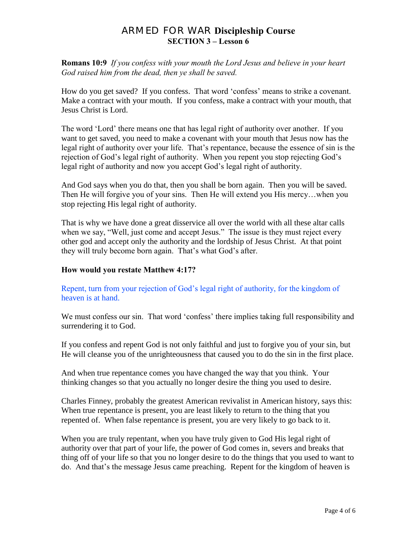**Romans 10:9** *If you confess with your mouth the Lord Jesus and believe in your heart God raised him from the dead, then ye shall be saved.*

How do you get saved? If you confess. That word "confess" means to strike a covenant. Make a contract with your mouth. If you confess, make a contract with your mouth, that Jesus Christ is Lord.

The word "Lord" there means one that has legal right of authority over another. If you want to get saved, you need to make a covenant with your mouth that Jesus now has the legal right of authority over your life. That's repentance, because the essence of sin is the rejection of God"s legal right of authority. When you repent you stop rejecting God"s legal right of authority and now you accept God"s legal right of authority.

And God says when you do that, then you shall be born again. Then you will be saved. Then He will forgive you of your sins. Then He will extend you His mercy…when you stop rejecting His legal right of authority.

That is why we have done a great disservice all over the world with all these altar calls when we say, "Well, just come and accept Jesus." The issue is they must reject every other god and accept only the authority and the lordship of Jesus Christ. At that point they will truly become born again. That's what God's after.

#### **How would you restate Matthew 4:17?**

### Repent, turn from your rejection of God"s legal right of authority, for the kingdom of heaven is at hand.

We must confess our sin. That word 'confess' there implies taking full responsibility and surrendering it to God.

If you confess and repent God is not only faithful and just to forgive you of your sin, but He will cleanse you of the unrighteousness that caused you to do the sin in the first place.

And when true repentance comes you have changed the way that you think. Your thinking changes so that you actually no longer desire the thing you used to desire.

Charles Finney, probably the greatest American revivalist in American history, says this: When true repentance is present, you are least likely to return to the thing that you repented of. When false repentance is present, you are very likely to go back to it.

When you are truly repentant, when you have truly given to God His legal right of authority over that part of your life, the power of God comes in, severs and breaks that thing off of your life so that you no longer desire to do the things that you used to want to do. And that"s the message Jesus came preaching. Repent for the kingdom of heaven is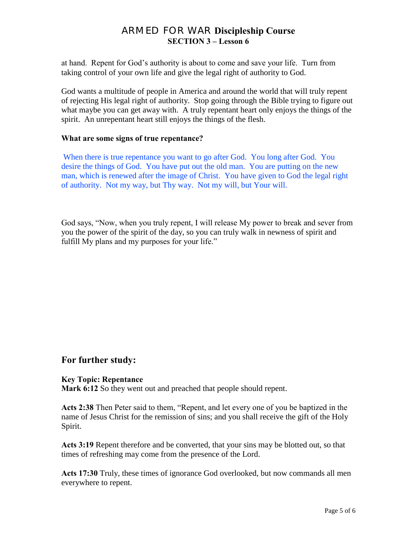at hand. Repent for God"s authority is about to come and save your life. Turn from taking control of your own life and give the legal right of authority to God.

God wants a multitude of people in America and around the world that will truly repent of rejecting His legal right of authority. Stop going through the Bible trying to figure out what maybe you can get away with. A truly repentant heart only enjoys the things of the spirit. An unrepentant heart still enjoys the things of the flesh.

#### **What are some signs of true repentance?**

When there is true repentance you want to go after God. You long after God. You desire the things of God. You have put out the old man. You are putting on the new man, which is renewed after the image of Christ. You have given to God the legal right of authority. Not my way, but Thy way. Not my will, but Your will.

God says, "Now, when you truly repent, I will release My power to break and sever from you the power of the spirit of the day, so you can truly walk in newness of spirit and fulfill My plans and my purposes for your life."

## **For further study:**

#### **Key Topic: Repentance**

Mark 6:12 So they went out and preached that people should repent.

**Acts 2:38** Then Peter said to them, "Repent, and let every one of you be baptized in the name of Jesus Christ for the remission of sins; and you shall receive the gift of the Holy Spirit.

**Acts 3:19** Repent therefore and be converted, that your sins may be blotted out, so that times of refreshing may come from the presence of the Lord.

**Acts 17:30** Truly, these times of ignorance God overlooked, but now commands all men everywhere to repent.